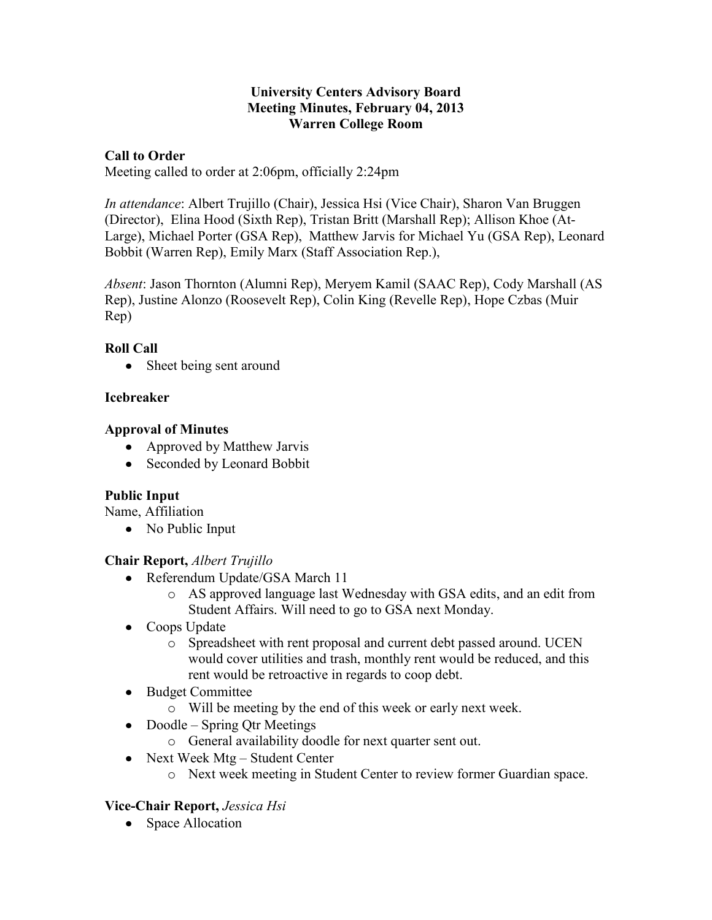#### **University Centers Advisory Board Meeting Minutes, February 04, 2013 Warren College Room**

### **Call to Order**

Meeting called to order at 2:06pm, officially 2:24pm

*In attendance*: Albert Trujillo (Chair), Jessica Hsi (Vice Chair), Sharon Van Bruggen (Director), Elina Hood (Sixth Rep), Tristan Britt (Marshall Rep); Allison Khoe (At-Large), Michael Porter (GSA Rep), Matthew Jarvis for Michael Yu (GSA Rep), Leonard Bobbit (Warren Rep), Emily Marx (Staff Association Rep.),

*Absent*: Jason Thornton (Alumni Rep), Meryem Kamil (SAAC Rep), Cody Marshall (AS Rep), Justine Alonzo (Roosevelt Rep), Colin King (Revelle Rep), Hope Czbas (Muir Rep)

# **Roll Call**

• Sheet being sent around

### **Icebreaker**

### **Approval of Minutes**

- Approved by Matthew Jarvis
- Seconded by Leonard Bobbit

# **Public Input**

Name, Affiliation

• No Public Input

# **Chair Report,** *Albert Trujillo*

- Referendum Update/GSA March 11
	- o AS approved language last Wednesday with GSA edits, and an edit from Student Affairs. Will need to go to GSA next Monday.
- Coops Update
	- o Spreadsheet with rent proposal and current debt passed around. UCEN would cover utilities and trash, monthly rent would be reduced, and this rent would be retroactive in regards to coop debt.
- Budget Committee  $\bullet$ 
	- o Will be meeting by the end of this week or early next week.
- Doodle Spring Qtr Meetings
	- o General availability doodle for next quarter sent out.
- Next Week Mtg Student Center
	- o Next week meeting in Student Center to review former Guardian space.

# **Vice-Chair Report,** *Jessica Hsi*

• Space Allocation